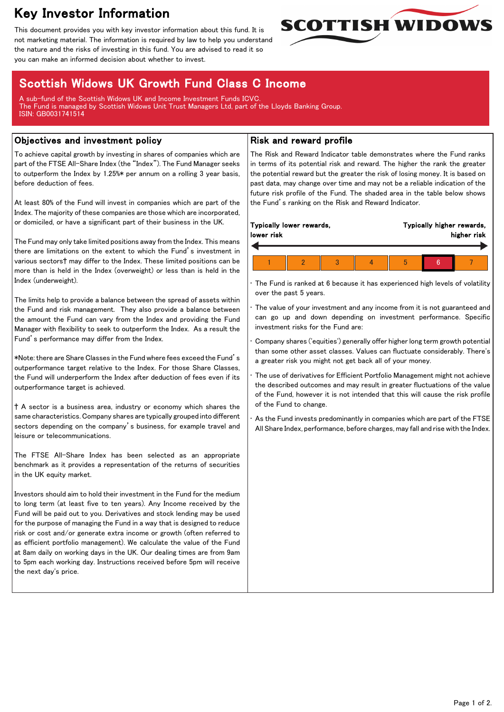# Key Investor Information

This document provides you with key investor information about this fund. It is not marketing material. The information is required by law to help you understand the nature and the risks of investing in this fund. You are advised to read it so you can make an informed decision about whether to invest.



# Scottish Widows UK Growth Fund Class C Income

A sub-fund of the Scottish Widows UK and Income Investment Funds ICVC. The Fund is managed by Scottish Widows Unit Trust Managers Ltd, part of the Lloyds Banking Group. ISIN: GB0031741514

## Objectives and investment policy

To achieve capital growth by investing in shares of companies which are part of the FTSE All-Share Index (the "Index"). The Fund Manager seeks to outperform the Index by 1.25%\* per annum on a rolling 3 year basis, before deduction of fees.

At least 80% of the Fund will invest in companies which are part of the Index. The majority of these companies are those which are incorporated, or domiciled, or have a significant part of their business in the UK.

The Fund may only take limited positions away from the Index. This means there are limitations on the extent to which the Fund's investment in various sectors† may differ to the Index. These limited positions can be more than is held in the Index (overweight) or less than is held in the Index (underweight).

The limits help to provide a balance between the spread of assets within the Fund and risk management. They also provide a balance between the amount the Fund can vary from the Index and providing the Fund Manager with flexibility to seek to outperform the Index. As a result the Fund's performance may differ from the Index.

\*Note: there are Share Classes in the Fund where fees exceed the Fund's outperformance target relative to the Index. For those Share Classes, the Fund will underperform the Index after deduction of fees even if its outperformance target is achieved.

† A sector is a business area, industry or economy which shares the same characteristics. Company shares are typically grouped into different sectors depending on the company's business, for example travel and leisure or telecommunications.

The FTSE All-Share Index has been selected as an appropriate benchmark as it provides a representation of the returns of securities in the UK equity market.

Investors should aim to hold their investment in the Fund for the medium to long term (at least five to ten years). Any Income received by the Fund will be paid out to you. Derivatives and stock lending may be used for the purpose of managing the Fund in a way that is designed to reduce risk or cost and/or generate extra income or growth (often referred to as efficient portfolio management). We calculate the value of the Fund at 8am daily on working days in the UK. Our dealing times are from 9am to 5pm each working day. Instructions received before 5pm will receive the next day's price.

## Risk and reward profile

The Risk and Reward Indicator table demonstrates where the Fund ranks in terms of its potential risk and reward. The higher the rank the greater the potential reward but the greater the risk of losing money. It is based on past data, may change over time and may not be a reliable indication of the future risk profile of the Fund. The shaded area in the table below shows the Fund's ranking on the Risk and Reward Indicator.

The Fund is ranked at 6 because it has experienced high levels of volatility over the past 5 years.

The value of your investment and any income from it is not guaranteed and can go up and down depending on investment performance. Specific investment risks for the Fund are:

• Company shares ('equities') generally offer higher long term growth potential than some other asset classes. Values can fluctuate considerably. There's a greater risk you might not get back all of your money.

The use of derivatives for Efficient Portfolio Management might not achieve the described outcomes and may result in greater fluctuations of the value of the Fund, however it is not intended that this will cause the risk profile of the Fund to change.

As the Fund invests predominantly in companies which are part of the FTSE All Share Index, performance, before charges, may fall and rise with the Index.